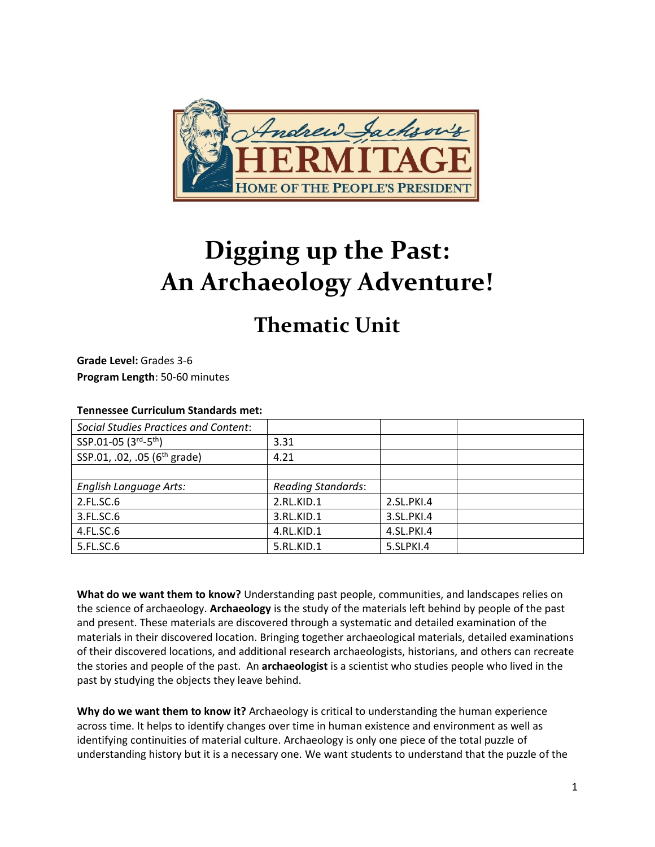

# **Digging up the Past: An Archaeology Adventure!**

# **Thematic Unit**

**Grade Level:** Grades 3-6 **Program Length**: 50-60 minutes

#### **Tennessee Curriculum Standards met:**

| <b>Social Studies Practices and Content:</b> |                           |            |  |
|----------------------------------------------|---------------------------|------------|--|
| SSP.01-05 (3rd-5th)                          | 3.31                      |            |  |
| SSP.01, .02, .05 (6 <sup>th</sup> grade)     | 4.21                      |            |  |
|                                              |                           |            |  |
| English Language Arts:                       | <b>Reading Standards:</b> |            |  |
| 2.FL.SC.6                                    | 2.RL.KID.1                | 2.SL.PKI.4 |  |
| 3.FL.SC.6                                    | 3.RL.KID.1                | 3.SL.PKI.4 |  |
| 4.FL.SC.6                                    | 4.RL.KID.1                | 4.SL.PKI.4 |  |
| 5.FL.SC.6                                    | 5.RL.KID.1                | 5.SLPKI.4  |  |

**What do we want them to know?** Understanding past people, communities, and landscapes relies on the science of archaeology. **Archaeology** is the study of the materials left behind by people of the past and present. These materials are discovered through a systematic and detailed examination of the materials in their discovered location. Bringing together archaeological materials, detailed examinations of their discovered locations, and additional research archaeologists, historians, and others can recreate the stories and people of the past. An **archaeologist** is a scientist who studies people who lived in the past by studying the objects they leave behind.

**Why do we want them to know it?** Archaeology is critical to understanding the human experience across time. It helps to identify changes over time in human existence and environment as well as identifying continuities of material culture. Archaeology is only one piece of the total puzzle of understanding history but it is a necessary one. We want students to understand that the puzzle of the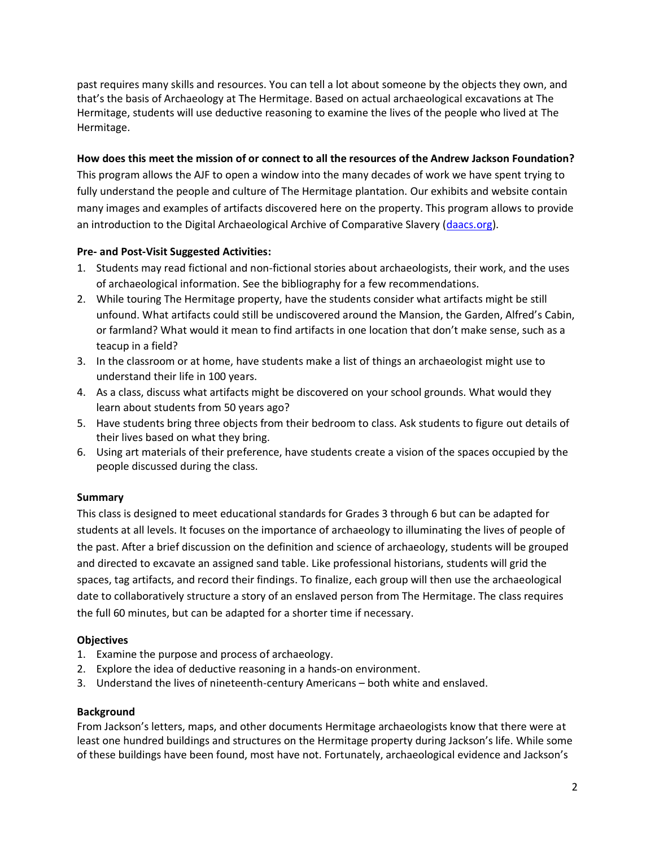past requires many skills and resources. You can tell a lot about someone by the objects they own, and that's the basis of Archaeology at The Hermitage. Based on actual archaeological excavations at The Hermitage, students will use deductive reasoning to examine the lives of the people who lived at The Hermitage.

#### **How does this meet the mission of or connect to all the resources of the Andrew Jackson Foundation?**

This program allows the AJF to open a window into the many decades of work we have spent trying to fully understand the people and culture of The Hermitage plantation. Our exhibits and website contain many images and examples of artifacts discovered here on the property. This program allows to provide an introduction to the Digital Archaeological Archive of Comparative Slavery [\(daacs.org\)](daacs.org).

#### **Pre- and Post-Visit Suggested Activities:**

- 1. Students may read fictional and non-fictional stories about archaeologists, their work, and the uses of archaeological information. See the bibliography for a few recommendations.
- 2. While touring The Hermitage property, have the students consider what artifacts might be still unfound. What artifacts could still be undiscovered around the Mansion, the Garden, Alfred's Cabin, or farmland? What would it mean to find artifacts in one location that don't make sense, such as a teacup in a field?
- 3. In the classroom or at home, have students make a list of things an archaeologist might use to understand their life in 100 years.
- 4. As a class, discuss what artifacts might be discovered on your school grounds. What would they learn about students from 50 years ago?
- 5. Have students bring three objects from their bedroom to class. Ask students to figure out details of their lives based on what they bring.
- 6. Using art materials of their preference, have students create a vision of the spaces occupied by the people discussed during the class.

#### **Summary**

This class is designed to meet educational standards for Grades 3 through 6 but can be adapted for students at all levels. It focuses on the importance of archaeology to illuminating the lives of people of the past. After a brief discussion on the definition and science of archaeology, students will be grouped and directed to excavate an assigned sand table. Like professional historians, students will grid the spaces, tag artifacts, and record their findings. To finalize, each group will then use the archaeological date to collaboratively structure a story of an enslaved person from The Hermitage. The class requires the full 60 minutes, but can be adapted for a shorter time if necessary.

#### **Objectives**

- 1. Examine the purpose and process of archaeology.
- 2. Explore the idea of deductive reasoning in a hands-on environment.
- 3. Understand the lives of nineteenth-century Americans both white and enslaved.

#### **Background**

From Jackson's letters, maps, and other documents Hermitage archaeologists know that there were at least one hundred buildings and structures on the Hermitage property during Jackson's life. While some of these buildings have been found, most have not. Fortunately, archaeological evidence and Jackson's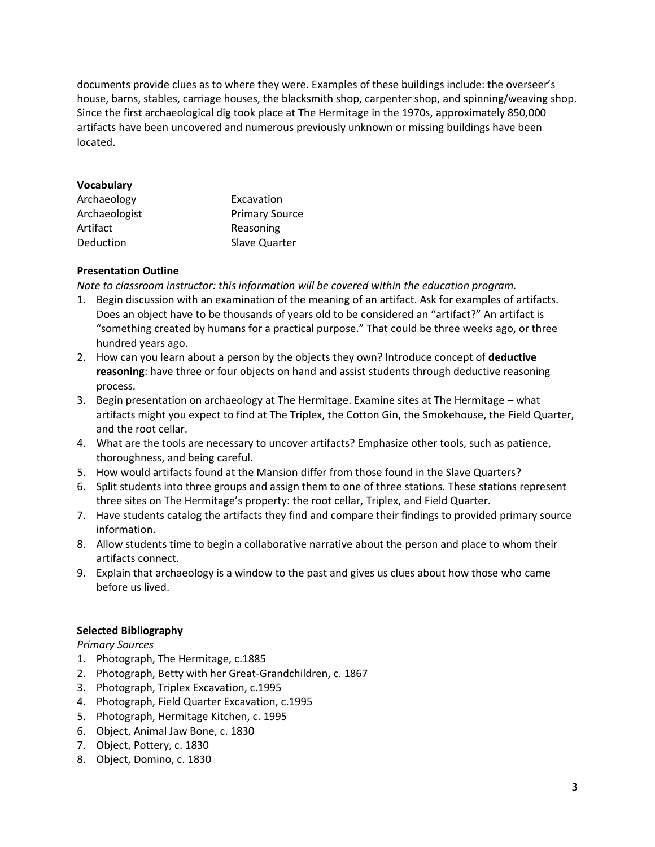documents provide clues as to where they were. Examples of these buildings include: the overseer's house, barns, stables, carriage houses, the blacksmith shop, carpenter shop, and spinning/weaving shop. Since the first archaeological dig took place at The Hermitage in the 1970s, approximately 850,000 artifacts have been uncovered and numerous previously unknown or missing buildings have been located.

#### **Vocabulary**

| Archaeology   | Excavation            |  |
|---------------|-----------------------|--|
| Archaeologist | <b>Primary Source</b> |  |
| Artifact      | Reasoning             |  |
| Deduction     | Slave Quarter         |  |

### **Presentation Outline**

*Note to classroom instructor: this information will be covered within the education program.*

- 1. Begin discussion with an examination of the meaning of an artifact. Ask for examples of artifacts. Does an object have to be thousands of years old to be considered an "artifact?" An artifact is "something created by humans for a practical purpose." That could be three weeks ago, or three hundred years ago.
- 2. How can you learn about a person by the objects they own? Introduce concept of **deductive reasoning**: have three or four objects on hand and assist students through deductive reasoning process.
- 3. Begin presentation on archaeology at The Hermitage. Examine sites at The Hermitage what artifacts might you expect to find at The Triplex, the Cotton Gin, the Smokehouse, the Field Quarter, and the root cellar.
- 4. What are the tools are necessary to uncover artifacts? Emphasize other tools, such as patience, thoroughness, and being careful.
- 5. How would artifacts found at the Mansion differ from those found in the Slave Quarters?
- 6. Split students into three groups and assign them to one of three stations. These stations represent three sites on The Hermitage's property: the root cellar, Triplex, and Field Quarter.
- 7. Have students catalog the artifacts they find and compare their findings to provided primary source information.
- 8. Allow students time to begin a collaborative narrative about the person and place to whom their artifacts connect.
- 9. Explain that archaeology is a window to the past and gives us clues about how those who came before us lived.

#### **Selected Bibliography**

*Primary Sources*

- 1. Photograph, The Hermitage, c.1885
- 2. Photograph, Betty with her Great-Grandchildren, c. 1867
- 3. Photograph, Triplex Excavation, c.1995
- 4. Photograph, Field Quarter Excavation, c.1995
- 5. Photograph, Hermitage Kitchen, c. 1995
- 6. Object, Animal Jaw Bone, c. 1830
- 7. Object, Pottery, c. 1830
- 8. Object, Domino, c. 1830